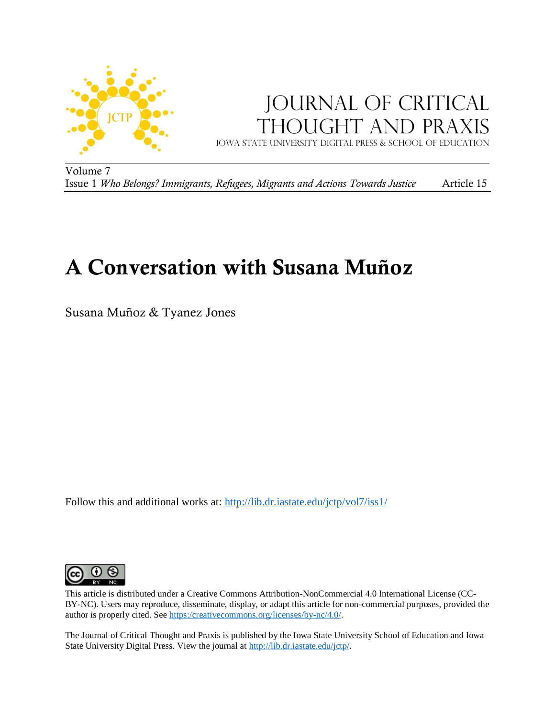

JOURNAL OF CRITICAL Thought and Praxis Iowa state university digital press & School of education

Volume 7 Issue 1 *Who Belongs? Immigrants, Refugees, Migrants and Actions Towards Justice* Article 15

# A Conversation with Susana Muñoz

Susana Muñoz & Tyanez Jones

Follow this and additional works at: [http://lib.dr.iastate.edu/jctp/vol7/iss1/](http://lib.dr.iastate.edu/jctp/vol6/iss3/)



This article is distributed under a Creative Commons Attribution-NonCommercial 4.0 International License (CC-BY-NC). Users may reproduce, disseminate, display, or adapt this article for non-commercial purposes, provided the author is properly cited. See [https:/creativecommons.org/licenses/by-nc/4.0/.](https://creativecommons.org/licenses/by-nc/4.0/) 

The Journal of Critical Thought and Praxis is published by the Iowa State University School of Education and Iowa State University Digital Press. View the journal at [http://lib.dr.iastate.edu/jctp/.](http://lib.dr.iastate.edu/jctp/)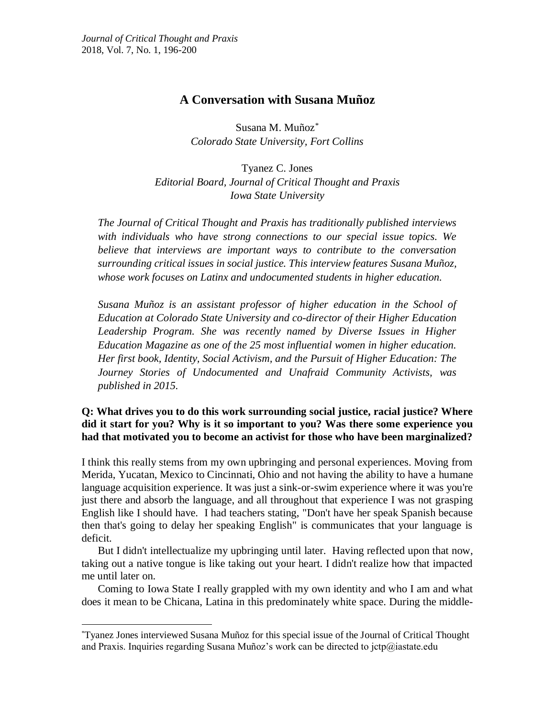$\overline{a}$ 

# **A Conversation with Susana Muñoz**

Susana M. Muñoz\* *Colorado State University, Fort Collins*

Tyanez C. Jones *Editorial Board, Journal of Critical Thought and Praxis Iowa State University*

*The Journal of Critical Thought and Praxis has traditionally published interviews with individuals who have strong connections to our special issue topics. We believe that interviews are important ways to contribute to the conversation surrounding critical issues in social justice. This interview features Susana Muñoz, whose work focuses on Latinx and undocumented students in higher education.*

*Susana Muñoz is an assistant professor of higher education in the School of Education at Colorado State University and co-director of their Higher Education Leadership Program. She was recently named by Diverse Issues in Higher Education Magazine as one of the 25 most influential women in higher education. Her first book, Identity, Social Activism, and the Pursuit of Higher Education: The Journey Stories of Undocumented and Unafraid Community Activists, was published in 2015.*

## **Q: What drives you to do this work surrounding social justice, racial justice? Where did it start for you? Why is it so important to you? Was there some experience you had that motivated you to become an activist for those who have been marginalized?**

I think this really stems from my own upbringing and personal experiences. Moving from Merida, Yucatan, Mexico to Cincinnati, Ohio and not having the ability to have a humane language acquisition experience. It was just a sink-or-swim experience where it was you're just there and absorb the language, and all throughout that experience I was not grasping English like I should have. I had teachers stating, "Don't have her speak Spanish because then that's going to delay her speaking English" is communicates that your language is deficit.

But I didn't intellectualize my upbringing until later. Having reflected upon that now, taking out a native tongue is like taking out your heart. I didn't realize how that impacted me until later on.

Coming to Iowa State I really grappled with my own identity and who I am and what does it mean to be Chicana, Latina in this predominately white space. During the middle-

<sup>\*</sup>Tyanez Jones interviewed Susana Muñoz for this special issue of the Journal of Critical Thought and Praxis. Inquiries regarding Susana Muñoz's work can be directed to jctp@iastate.edu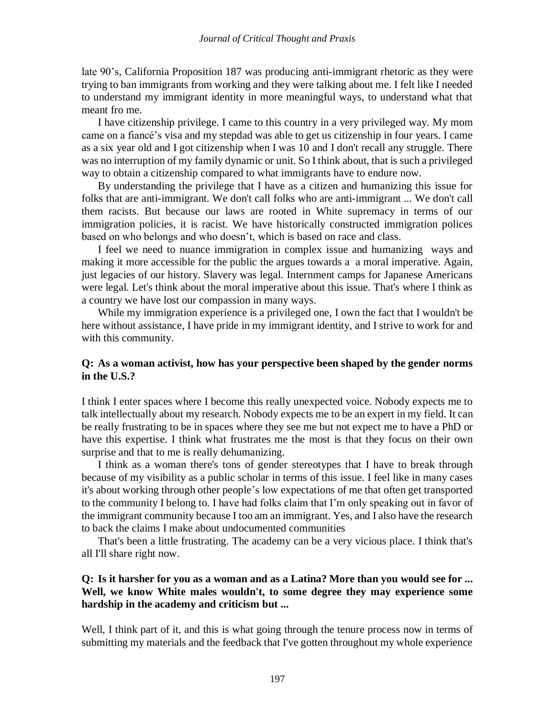late 90's, California Proposition 187 was producing anti-immigrant rhetoric as they were trying to ban immigrants from working and they were talking about me. I felt like I needed to understand my immigrant identity in more meaningful ways, to understand what that meant fro me.

I have citizenship privilege. I came to this country in a very privileged way. My mom came on a fiancé's visa and my stepdad was able to get us citizenship in four years. I came as a six year old and I got citizenship when I was 10 and I don't recall any struggle. There was no interruption of my family dynamic or unit. So I think about, that is such a privileged way to obtain a citizenship compared to what immigrants have to endure now.

By understanding the privilege that I have as a citizen and humanizing this issue for folks that are anti-immigrant. We don't call folks who are anti-immigrant ... We don't call them racists. But because our laws are rooted in White supremacy in terms of our immigration policies, it is racist. We have historically constructed immigration polices based on who belongs and who doesn't, which is based on race and class.

I feel we need to nuance immigration in complex issue and humanizing ways and making it more accessible for the public the argues towards a a moral imperative. Again, just legacies of our history. Slavery was legal. Internment camps for Japanese Americans were legal. Let's think about the moral imperative about this issue. That's where I think as a country we have lost our compassion in many ways.

While my immigration experience is a privileged one, I own the fact that I wouldn't be here without assistance, I have pride in my immigrant identity, and I strive to work for and with this community.

### **Q: As a woman activist, how has your perspective been shaped by the gender norms in the U.S.?**

I think I enter spaces where I become this really unexpected voice. Nobody expects me to talk intellectually about my research. Nobody expects me to be an expert in my field. It can be really frustrating to be in spaces where they see me but not expect me to have a PhD or have this expertise. I think what frustrates me the most is that they focus on their own surprise and that to me is really dehumanizing.

I think as a woman there's tons of gender stereotypes that I have to break through because of my visibility as a public scholar in terms of this issue. I feel like in many cases it's about working through other people's low expectations of me that often get transported to the community I belong to. I have had folks claim that I'm only speaking out in favor of the immigrant community because I too am an immigrant. Yes, and I also have the research to back the claims I make about undocumented communities

That's been a little frustrating. The academy can be a very vicious place. I think that's all I'll share right now.

#### **Q: Is it harsher for you as a woman and as a Latina? More than you would see for ... Well, we know White males wouldn't, to some degree they may experience some hardship in the academy and criticism but ...**

Well, I think part of it, and this is what going through the tenure process now in terms of submitting my materials and the feedback that I've gotten throughout my whole experience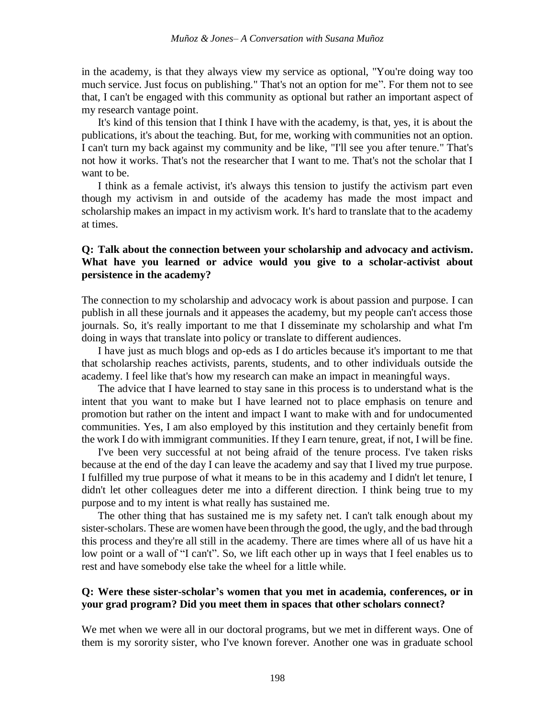in the academy, is that they always view my service as optional, "You're doing way too much service. Just focus on publishing." That's not an option for me". For them not to see that, I can't be engaged with this community as optional but rather an important aspect of my research vantage point.

It's kind of this tension that I think I have with the academy, is that, yes, it is about the publications, it's about the teaching. But, for me, working with communities not an option. I can't turn my back against my community and be like, "I'll see you after tenure." That's not how it works. That's not the researcher that I want to me. That's not the scholar that I want to be.

I think as a female activist, it's always this tension to justify the activism part even though my activism in and outside of the academy has made the most impact and scholarship makes an impact in my activism work. It's hard to translate that to the academy at times.

#### **Q: Talk about the connection between your scholarship and advocacy and activism. What have you learned or advice would you give to a scholar-activist about persistence in the academy?**

The connection to my scholarship and advocacy work is about passion and purpose. I can publish in all these journals and it appeases the academy, but my people can't access those journals. So, it's really important to me that I disseminate my scholarship and what I'm doing in ways that translate into policy or translate to different audiences.

I have just as much blogs and op-eds as I do articles because it's important to me that that scholarship reaches activists, parents, students, and to other individuals outside the academy. I feel like that's how my research can make an impact in meaningful ways.

The advice that I have learned to stay sane in this process is to understand what is the intent that you want to make but I have learned not to place emphasis on tenure and promotion but rather on the intent and impact I want to make with and for undocumented communities. Yes, I am also employed by this institution and they certainly benefit from the work I do with immigrant communities. If they I earn tenure, great, if not, I will be fine.

I've been very successful at not being afraid of the tenure process. I've taken risks because at the end of the day I can leave the academy and say that I lived my true purpose. I fulfilled my true purpose of what it means to be in this academy and I didn't let tenure, I didn't let other colleagues deter me into a different direction. I think being true to my purpose and to my intent is what really has sustained me.

The other thing that has sustained me is my safety net. I can't talk enough about my sister-scholars. These are women have been through the good, the ugly, and the bad through this process and they're all still in the academy. There are times where all of us have hit a low point or a wall of "I can't". So, we lift each other up in ways that I feel enables us to rest and have somebody else take the wheel for a little while.

#### **Q: Were these sister-scholar's women that you met in academia, conferences, or in your grad program? Did you meet them in spaces that other scholars connect?**

We met when we were all in our doctoral programs, but we met in different ways. One of them is my sorority sister, who I've known forever. Another one was in graduate school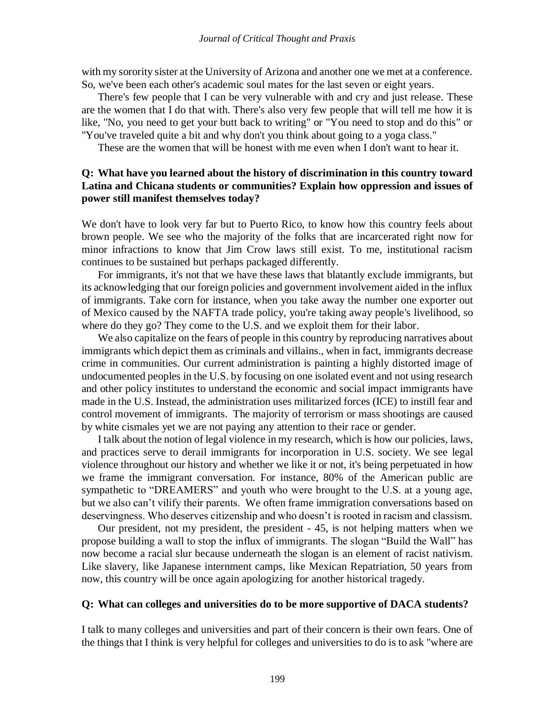with my sorority sister at the University of Arizona and another one we met at a conference. So, we've been each other's academic soul mates for the last seven or eight years.

There's few people that I can be very vulnerable with and cry and just release. These are the women that I do that with. There's also very few people that will tell me how it is like, "No, you need to get your butt back to writing" or "You need to stop and do this" or "You've traveled quite a bit and why don't you think about going to a yoga class."

These are the women that will be honest with me even when I don't want to hear it.

### **Q: What have you learned about the history of discrimination in this country toward Latina and Chicana students or communities? Explain how oppression and issues of power still manifest themselves today?**

We don't have to look very far but to Puerto Rico, to know how this country feels about brown people. We see who the majority of the folks that are incarcerated right now for minor infractions to know that Jim Crow laws still exist. To me, institutional racism continues to be sustained but perhaps packaged differently.

For immigrants, it's not that we have these laws that blatantly exclude immigrants, but its acknowledging that our foreign policies and government involvement aided in the influx of immigrants. Take corn for instance, when you take away the number one exporter out of Mexico caused by the NAFTA trade policy, you're taking away people's livelihood, so where do they go? They come to the U.S. and we exploit them for their labor.

We also capitalize on the fears of people in this country by reproducing narratives about immigrants which depict them as criminals and villains., when in fact, immigrants decrease crime in communities. Our current administration is painting a highly distorted image of undocumented peoples in the U.S. by focusing on one isolated event and not using research and other policy institutes to understand the economic and social impact immigrants have made in the U.S. Instead, the administration uses militarized forces (ICE) to instill fear and control movement of immigrants. The majority of terrorism or mass shootings are caused by white cismales yet we are not paying any attention to their race or gender.

I talk about the notion of legal violence in my research, which is how our policies, laws, and practices serve to derail immigrants for incorporation in U.S. society. We see legal violence throughout our history and whether we like it or not, it's being perpetuated in how we frame the immigrant conversation. For instance, 80% of the American public are sympathetic to "DREAMERS" and youth who were brought to the U.S. at a young age, but we also can't vilify their parents. We often frame immigration conversations based on deservingness. Who deserves citizenship and who doesn't is rooted in racism and classism.

Our president, not my president, the president - 45, is not helping matters when we propose building a wall to stop the influx of immigrants. The slogan "Build the Wall" has now become a racial slur because underneath the slogan is an element of racist nativism. Like slavery, like Japanese internment camps, like Mexican Repatriation, 50 years from now, this country will be once again apologizing for another historical tragedy.

#### **Q: What can colleges and universities do to be more supportive of DACA students?**

I talk to many colleges and universities and part of their concern is their own fears. One of the things that I think is very helpful for colleges and universities to do is to ask "where are